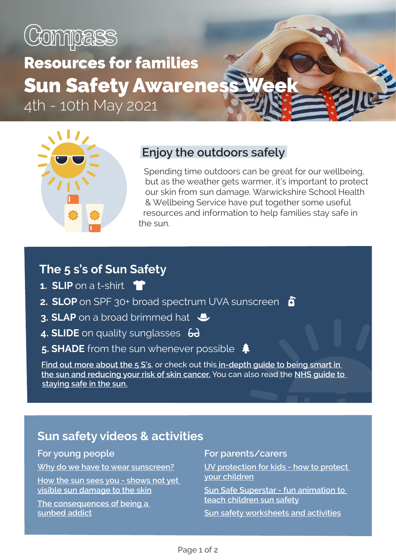

# Resources for families **Sun Safety Awaren** 4th - 10th May 2021



#### **Enjoy the outdoors safely**

Spending time outdoors can be great for our wellbeing, but as the weather gets warmer, it's important to protect our skin from sun damage. Warwickshire School Health & Wellbeing Service have put together some useful resources and information to help families stay safe in the sun.

#### **The 5 s's of Sun Safety**

- **1. SLIP** on a t-shirt **that**
- **2. SLOP** on SPF 30+ broad spectrum UVA sunscreen **n**
- **3. SLAP** on a broad brimmed hat  $\triangle$
- 4. **SLIDE** on quality sunglasses 6
- 5. **SHADE** from the sun whenever possible  $\triangleq$

**[Find out more about the 5 S's](https://www.skcin.org/sunSafetyAndPrevention/theFiveSsOfSunSafety.htm)**, or check out this **[in-depth guide to being smart in](https://publications.cancerresearchuk.org/sites/default/files/publication-files/CRUK%20-%20Cut%20your%20cancer%20risk%20-%20Stay%20Safe%20in%20the%20sun.pdf)  [the sun and reducing your risk of skin cancer.](https://publications.cancerresearchuk.org/sites/default/files/publication-files/CRUK%20-%20Cut%20your%20cancer%20risk%20-%20Stay%20Safe%20in%20the%20sun.pdf)** You can also read the **[NHS guide to](https://www.nhs.uk/live-well/healthy-body/sunscreen-and-sun-safety/)  [staying safe in the sun.](https://www.nhs.uk/live-well/healthy-body/sunscreen-and-sun-safety/)**

#### **Sun safety videos & activities**

#### **For young people**

**[Why do we have to wear sunscreen?](https://www.youtube.com/watch?v=ZSJITdsTze0)**

**[How the sun sees you - shows not yet](https://youtu.be/o9BqrSAHbTc)  [visible sun damage to the skin](https://youtu.be/o9BqrSAHbTc)**

**[The consequences of being a](https://www.youtube.com/watch?v=gYFNdY0ILJk)  [sunbed addict](https://www.youtube.com/watch?v=gYFNdY0ILJk)**

#### **For parents/carers**

**[UV protection for kids - how to protect](https://www.youtube.com/watch?v=OwxqLUircGw)  [your children](https://www.youtube.com/watch?v=OwxqLUircGw)**

**[Sun Safe Superstar - fun animation to](https://www.youtube.com/watch?v=T7ghJsZug60)  [teach children sun safety](https://www.youtube.com/watch?v=T7ghJsZug60)**

**[Sun safety worksheets and activities](https://easyteaching.net/health-worksheets/sun-safety-worksheets/)**